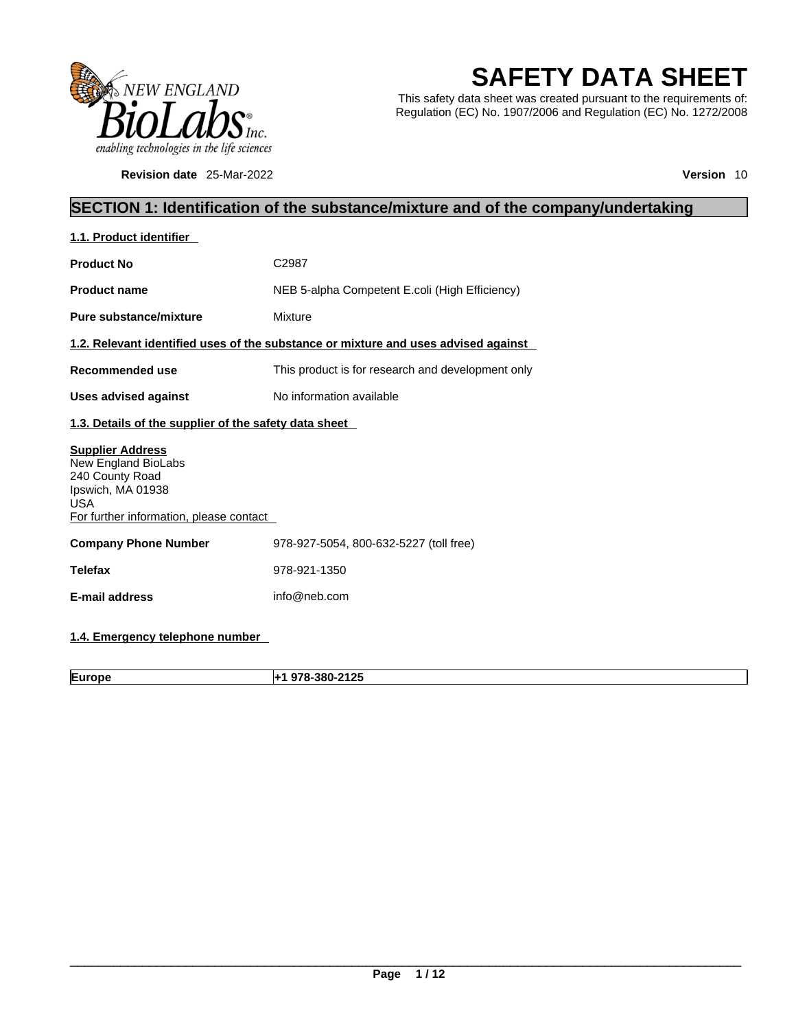

**Revision date** 25-Mar-2022 **Version** 10

# **SAFETY DATA SHEET**

This safety data sheet was created pursuant to the requirements of: Regulation (EC) No. 1907/2006 and Regulation (EC) No. 1272/2008

### **SECTION 1: Identification of the substance/mixture and of the company/undertaking**

| 1.1. Product identifier                                                                                                                         |                                                                                    |
|-------------------------------------------------------------------------------------------------------------------------------------------------|------------------------------------------------------------------------------------|
| <b>Product No</b>                                                                                                                               | C <sub>2987</sub>                                                                  |
| <b>Product name</b>                                                                                                                             | NEB 5-alpha Competent E.coli (High Efficiency)                                     |
| <b>Pure substance/mixture</b>                                                                                                                   | Mixture                                                                            |
|                                                                                                                                                 | 1.2. Relevant identified uses of the substance or mixture and uses advised against |
| <b>Recommended use</b>                                                                                                                          | This product is for research and development only                                  |
| <b>Uses advised against</b>                                                                                                                     | No information available                                                           |
| 1.3. Details of the supplier of the safety data sheet                                                                                           |                                                                                    |
| <b>Supplier Address</b><br>New England BioLabs<br>240 County Road<br>Ipswich, MA 01938<br><b>USA</b><br>For further information, please contact |                                                                                    |
| <b>Company Phone Number</b>                                                                                                                     | 978-927-5054, 800-632-5227 (toll free)                                             |
| <b>Telefax</b>                                                                                                                                  | 978-921-1350                                                                       |
| <b>E-mail address</b>                                                                                                                           | info@neb.com                                                                       |
|                                                                                                                                                 |                                                                                    |

### **1.4. Emergency telephone number**

**Europe +1 978-380-2125**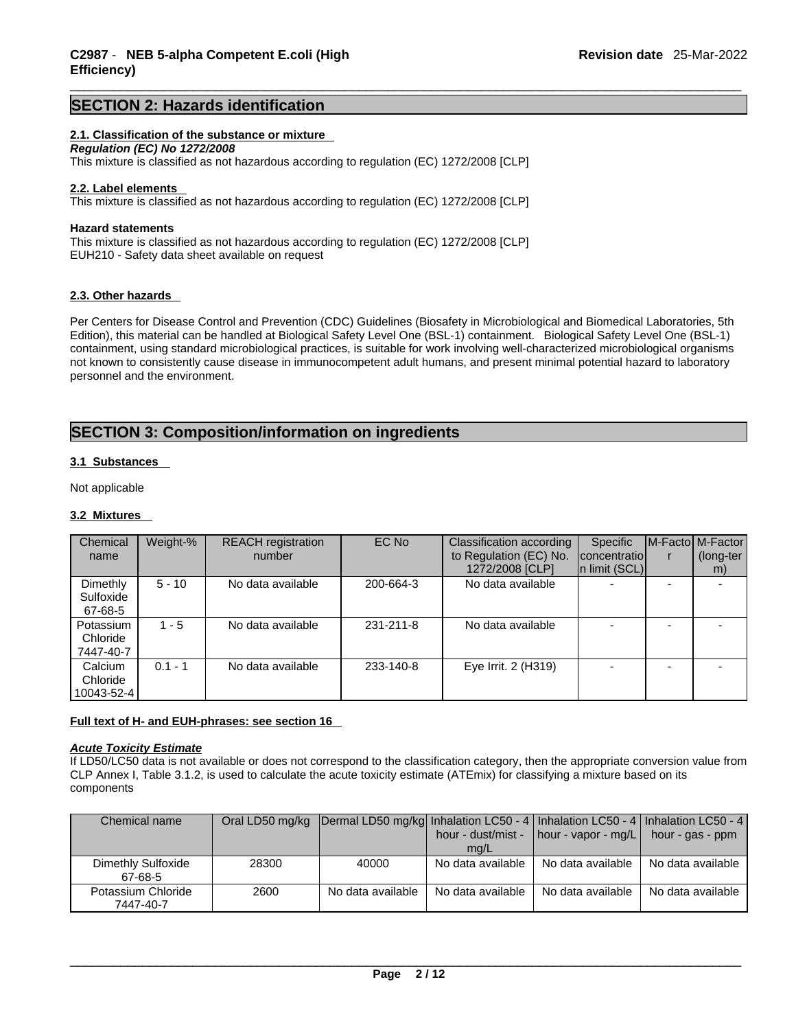### **SECTION 2: Hazards identification**

#### **2.1. Classification of the substance or mixture**

*Regulation (EC) No 1272/2008*  This mixture is classified as not hazardous according to regulation (EC) 1272/2008 [CLP]

#### **2.2. Label elements**

This mixture is classified as not hazardous according to regulation (EC) 1272/2008 [CLP]

#### **Hazard statements**

This mixture is classified as not hazardous according to regulation (EC) 1272/2008 [CLP] EUH210 - Safety data sheet available on request

#### **2.3. Other hazards**

Per Centers for Disease Control and Prevention (CDC) Guidelines (Biosafety in Microbiological and Biomedical Laboratories, 5th Edition), this material can be handled at Biological Safety Level One (BSL-1) containment. Biological Safety Level One (BSL-1) containment, using standard microbiological practices, is suitable for work involving well-characterized microbiological organisms not known to consistently cause disease in immunocompetent adult humans, and present minimal potential hazard to laboratory personnel and the environment.

### **SECTION 3: Composition/information on ingredients**

#### **3.1 Substances**

Not applicable

#### **3.2 Mixtures**

| Chemical<br>name                   | Weight-%  | <b>REACH</b> registration<br>number | EC No     | Classification according<br>to Regulation (EC) No. | <b>Specific</b><br>concentratiol | M-Facto M-Factor<br>(long-ter |
|------------------------------------|-----------|-------------------------------------|-----------|----------------------------------------------------|----------------------------------|-------------------------------|
|                                    |           |                                     |           | 1272/2008 [CLP]                                    | In limit (SCL)                   | m)                            |
| Dimethly<br>Sulfoxide<br>67-68-5   | $5 - 10$  | No data available                   | 200-664-3 | No data available                                  | -                                |                               |
| Potassium<br>Chloride<br>7447-40-7 | $1 - 5$   | No data available                   | 231-211-8 | No data available                                  |                                  |                               |
| Calcium<br>Chloride<br>10043-52-4  | $0.1 - 1$ | No data available                   | 233-140-8 | Eye Irrit. 2 (H319)                                |                                  |                               |

#### **Full text of H- and EUH-phrases: see section 16**

*Acute Toxicity Estimate*

If LD50/LC50 data is not available or does not correspond to the classification category, then the appropriate conversion value from CLP Annex I, Table 3.1.2, is used to calculate the acute toxicity estimate (ATEmix) for classifying a mixture based on its components

| Chemical name                   |       | Oral LD50 mg/kg Dermal LD50 mg/kg Inhalation LC50 - 4   Inhalation LC50 - 4   Inhalation LC50 - 4 | mq/L              | hour - dust/mist - $\vert$ hour - vapor - mg/L $\vert$ hour - gas - ppm |                   |
|---------------------------------|-------|---------------------------------------------------------------------------------------------------|-------------------|-------------------------------------------------------------------------|-------------------|
| Dimethly Sulfoxide<br>67-68-5   | 28300 | 40000                                                                                             | No data available | No data available                                                       | No data available |
| Potassium Chloride<br>7447-40-7 | 2600  | No data available                                                                                 | No data available | No data available                                                       | No data available |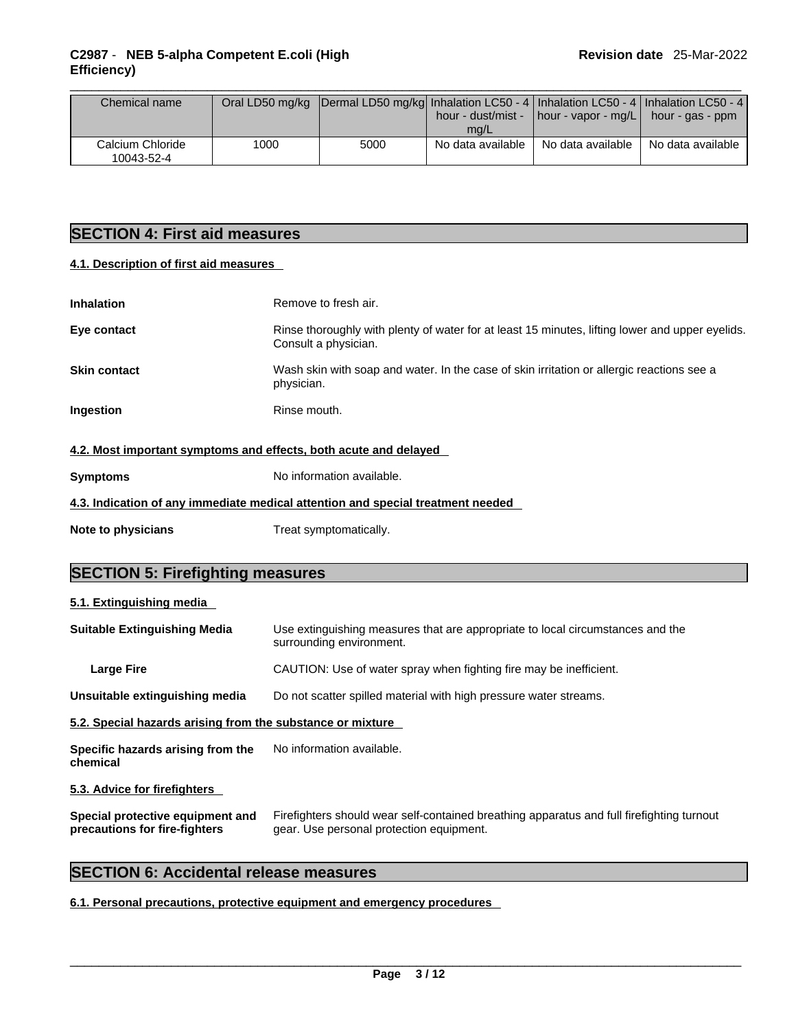| Chemical name                  |      | Oral LD50 mg/kg  Dermal LD50 mg/kg  Inhalation LC50 - 4   Inhalation LC50 - 4   Inhalation LC50 - 4 |                   |                                                             |                   |  |
|--------------------------------|------|-----------------------------------------------------------------------------------------------------|-------------------|-------------------------------------------------------------|-------------------|--|
|                                |      |                                                                                                     |                   | hour - dust/mist -   hour - vapor - mg/L   hour - gas - ppm |                   |  |
|                                |      |                                                                                                     | mg/L              |                                                             |                   |  |
| Calcium Chloride<br>10043-52-4 | 1000 | 5000                                                                                                | No data available | No data available                                           | No data available |  |

### **SECTION 4: First aid measures**

#### **4.1. Description of first aid measures**

| Inhalation                                                       | Remove to fresh air.                                                                                                    |
|------------------------------------------------------------------|-------------------------------------------------------------------------------------------------------------------------|
| Eye contact                                                      | Rinse thoroughly with plenty of water for at least 15 minutes, lifting lower and upper eyelids.<br>Consult a physician. |
| <b>Skin contact</b>                                              | Wash skin with soap and water. In the case of skin irritation or allergic reactions see a<br>physician.                 |
| Ingestion                                                        | Rinse mouth.                                                                                                            |
| 4.2. Most important symptoms and effects, both acute and delayed |                                                                                                                         |
|                                                                  |                                                                                                                         |

| <b>Symptoms</b>    | No information available.                                                       |  |  |  |  |  |  |
|--------------------|---------------------------------------------------------------------------------|--|--|--|--|--|--|
|                    | 4.3. Indication of any immediate medical attention and special treatment needed |  |  |  |  |  |  |
| Note to physicians | Treat symptomatically.                                                          |  |  |  |  |  |  |

### **SECTION 5: Firefighting measures**

| 5.1. Extinguishing media                                          |                                                                                                                                       |  |  |  |  |  |
|-------------------------------------------------------------------|---------------------------------------------------------------------------------------------------------------------------------------|--|--|--|--|--|
| <b>Suitable Extinguishing Media</b>                               | Use extinguishing measures that are appropriate to local circumstances and the<br>surrounding environment.                            |  |  |  |  |  |
| <b>Large Fire</b>                                                 | CAUTION: Use of water spray when fighting fire may be inefficient.                                                                    |  |  |  |  |  |
| Unsuitable extinguishing media                                    | Do not scatter spilled material with high pressure water streams.                                                                     |  |  |  |  |  |
| 5.2. Special hazards arising from the substance or mixture        |                                                                                                                                       |  |  |  |  |  |
| Specific hazards arising from the<br>chemical                     | No information available.                                                                                                             |  |  |  |  |  |
| 5.3. Advice for firefighters                                      |                                                                                                                                       |  |  |  |  |  |
| Special protective equipment and<br>precautions for fire-fighters | Firefighters should wear self-contained breathing apparatus and full firefighting turnout<br>gear. Use personal protection equipment. |  |  |  |  |  |

### **SECTION 6: Accidental release measures**

### **6.1. Personal precautions, protective equipment and emergency procedures**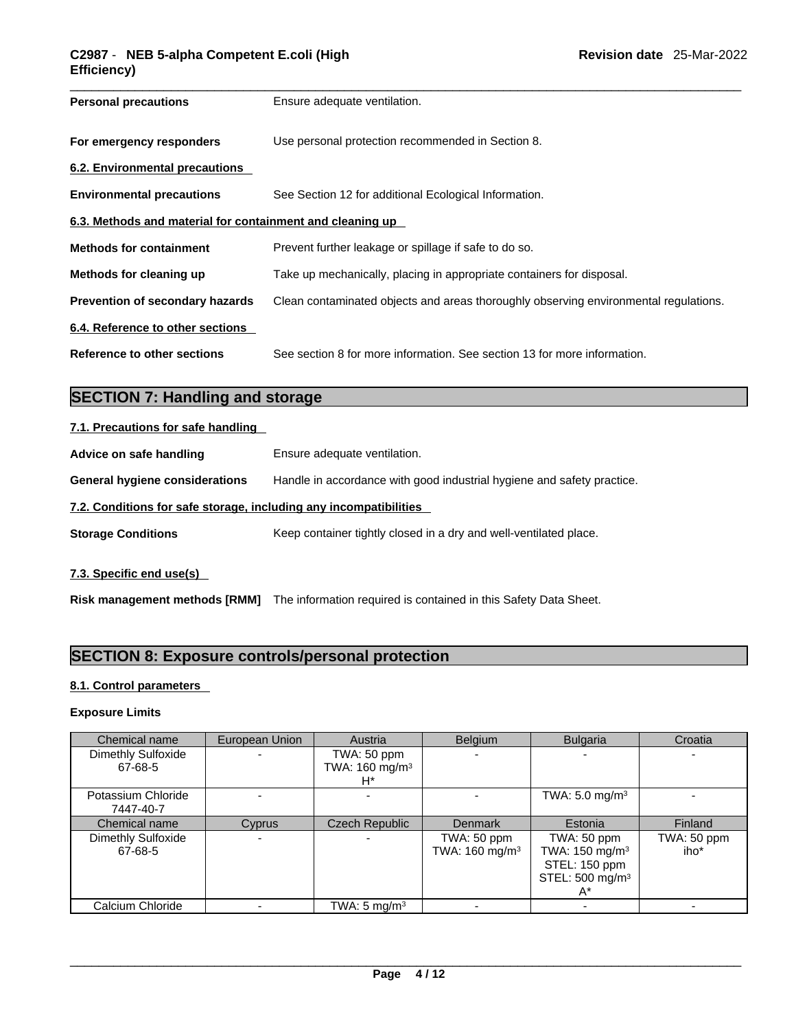| <b>Personal precautions</b>                               | Ensure adequate ventilation.                                                         |  |  |  |  |
|-----------------------------------------------------------|--------------------------------------------------------------------------------------|--|--|--|--|
| For emergency responders                                  | Use personal protection recommended in Section 8.                                    |  |  |  |  |
| 6.2. Environmental precautions                            |                                                                                      |  |  |  |  |
| <b>Environmental precautions</b>                          | See Section 12 for additional Ecological Information.                                |  |  |  |  |
| 6.3. Methods and material for containment and cleaning up |                                                                                      |  |  |  |  |
| <b>Methods for containment</b>                            | Prevent further leakage or spillage if safe to do so.                                |  |  |  |  |
| Methods for cleaning up                                   | Take up mechanically, placing in appropriate containers for disposal.                |  |  |  |  |
| <b>Prevention of secondary hazards</b>                    | Clean contaminated objects and areas thoroughly observing environmental regulations. |  |  |  |  |
| 6.4. Reference to other sections                          |                                                                                      |  |  |  |  |
| Reference to other sections                               | See section 8 for more information. See section 13 for more information.             |  |  |  |  |

## **SECTION 7: Handling and storage**

| 7.1. Precautions for safe handling                                |                                                                        |  |  |  |  |  |
|-------------------------------------------------------------------|------------------------------------------------------------------------|--|--|--|--|--|
| Advice on safe handling                                           | Ensure adequate ventilation.                                           |  |  |  |  |  |
| <b>General hygiene considerations</b>                             | Handle in accordance with good industrial hygiene and safety practice. |  |  |  |  |  |
| 7.2. Conditions for safe storage, including any incompatibilities |                                                                        |  |  |  |  |  |
| <b>Storage Conditions</b>                                         | Keep container tightly closed in a dry and well-ventilated place.      |  |  |  |  |  |
|                                                                   |                                                                        |  |  |  |  |  |

**7.3. Specific end use(s)** 

**Risk management methods [RMM]** The information required is contained in this Safety Data Sheet.

### **SECTION 8: Exposure controls/personal protection**

**8.1. Control parameters** 

#### **Exposure Limits**

| Chemical name      | European Union | Austria                    | <b>Belgium</b>             | <b>Bulgaria</b>             | Croatia     |
|--------------------|----------------|----------------------------|----------------------------|-----------------------------|-------------|
| Dimethly Sulfoxide |                | TWA: 50 ppm                |                            |                             |             |
| 67-68-5            |                | TWA: 160 mg/m <sup>3</sup> |                            |                             |             |
|                    |                | $H^*$                      |                            |                             |             |
| Potassium Chloride |                |                            |                            | TWA: $5.0 \text{ mg/m}^3$   |             |
| 7447-40-7          |                |                            |                            |                             |             |
| Chemical name      | Cyprus         | <b>Czech Republic</b>      | Denmark                    | Estonia                     | Finland     |
| Dimethly Sulfoxide |                |                            | TWA: 50 ppm                | TWA: 50 ppm                 | TWA: 50 ppm |
| 67-68-5            |                |                            | TWA: 160 mg/m <sup>3</sup> | TWA: 150 mg/m <sup>3</sup>  | iho*        |
|                    |                |                            |                            | STEL: 150 ppm               |             |
|                    |                |                            |                            | STEL: 500 mg/m <sup>3</sup> |             |
|                    |                |                            |                            |                             |             |
| Calcium Chloride   |                | TWA: $5 \text{ mg/m}^3$    |                            |                             |             |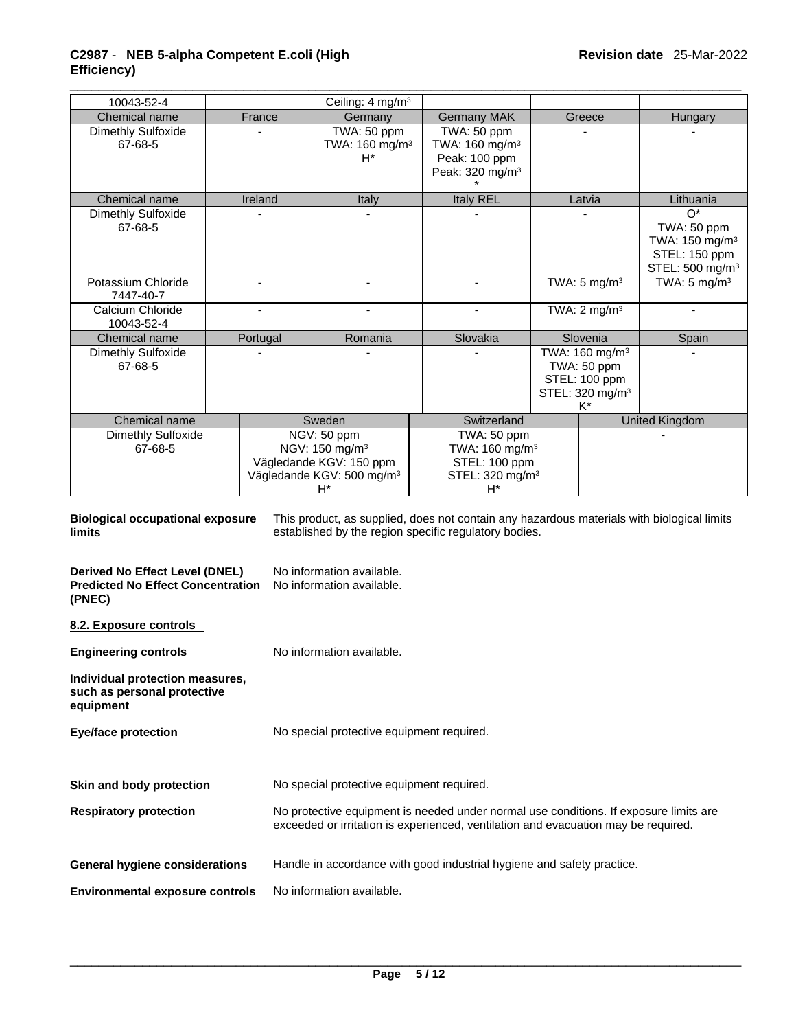### \_\_\_\_\_\_\_\_\_\_\_\_\_\_\_\_\_\_\_\_\_\_\_\_\_\_\_\_\_\_\_\_\_\_\_\_\_\_\_\_\_\_\_\_\_\_\_\_\_\_\_\_\_\_\_\_\_\_\_\_\_\_\_\_\_\_\_\_\_\_\_\_\_\_\_\_\_\_\_\_\_\_\_\_\_\_\_\_\_\_\_\_\_ **C2987** - **NEB 5-alpha Competent E.coli (High Efficiency)**

| 10043-52-4                                                                                  |                                                                                                                                                                             |                                           | Ceiling: 4 mg/m <sup>3</sup>                                                                                           |                                                                                                                                                     |  |                                                                                                             |                                                                                                    |
|---------------------------------------------------------------------------------------------|-----------------------------------------------------------------------------------------------------------------------------------------------------------------------------|-------------------------------------------|------------------------------------------------------------------------------------------------------------------------|-----------------------------------------------------------------------------------------------------------------------------------------------------|--|-------------------------------------------------------------------------------------------------------------|----------------------------------------------------------------------------------------------------|
| Chemical name<br>Dimethly Sulfoxide<br>67-68-5                                              |                                                                                                                                                                             | France                                    | Germany<br>TWA: 50 ppm<br>TWA: 160 mg/m <sup>3</sup><br>$H^*$                                                          | <b>Germany MAK</b><br>TWA: 50 ppm<br>TWA: 160 mg/m <sup>3</sup><br>Peak: 100 ppm<br>Peak: 320 mg/m <sup>3</sup>                                     |  | Greece                                                                                                      | Hungary                                                                                            |
| Chemical name                                                                               |                                                                                                                                                                             | Ireland                                   | Italy                                                                                                                  | <b>Italy REL</b>                                                                                                                                    |  | Latvia                                                                                                      | Lithuania                                                                                          |
| <b>Dimethly Sulfoxide</b><br>67-68-5                                                        |                                                                                                                                                                             |                                           |                                                                                                                        |                                                                                                                                                     |  |                                                                                                             | $O^*$<br>TWA: 50 ppm<br>TWA: 150 mg/m <sup>3</sup><br>STEL: 150 ppm<br>STEL: 500 mg/m <sup>3</sup> |
| Potassium Chloride<br>7447-40-7                                                             |                                                                                                                                                                             | $\blacksquare$                            | $\blacksquare$                                                                                                         | $\blacksquare$                                                                                                                                      |  | TWA: $5 \text{ mg/m}^3$                                                                                     | TWA: $5 \text{ mg/m}^3$                                                                            |
| Calcium Chloride<br>10043-52-4                                                              |                                                                                                                                                                             |                                           |                                                                                                                        |                                                                                                                                                     |  | TWA: $2 \text{ mg/m}^3$                                                                                     |                                                                                                    |
| Chemical name<br>Dimethly Sulfoxide<br>67-68-5                                              |                                                                                                                                                                             | Portugal                                  | Romania                                                                                                                | Slovakia                                                                                                                                            |  | Slovenia<br>TWA: 160 mg/m <sup>3</sup><br>TWA: 50 ppm<br>STEL: 100 ppm<br>STEL: 320 mg/m <sup>3</sup><br>K* | Spain                                                                                              |
| Chemical name                                                                               |                                                                                                                                                                             |                                           | Sweden                                                                                                                 | Switzerland                                                                                                                                         |  |                                                                                                             | <b>United Kingdom</b>                                                                              |
| <b>Dimethly Sulfoxide</b><br>67-68-5                                                        |                                                                                                                                                                             |                                           | NGV: 50 ppm<br>NGV: 150 mg/m <sup>3</sup><br>Vägledande KGV: 150 ppm<br>Vägledande KGV: 500 mg/m <sup>3</sup><br>$H^*$ | TWA: 50 ppm<br>TWA: 160 mg/m <sup>3</sup><br>STEL: 100 ppm<br>STEL: 320 mg/m <sup>3</sup><br>H*                                                     |  |                                                                                                             |                                                                                                    |
| <b>Biological occupational exposure</b><br><b>limits</b>                                    |                                                                                                                                                                             |                                           |                                                                                                                        | This product, as supplied, does not contain any hazardous materials with biological limits<br>established by the region specific regulatory bodies. |  |                                                                                                             |                                                                                                    |
| <b>Derived No Effect Level (DNEL)</b><br><b>Predicted No Effect Concentration</b><br>(PNEC) |                                                                                                                                                                             |                                           | No information available.<br>No information available.                                                                 |                                                                                                                                                     |  |                                                                                                             |                                                                                                    |
| 8.2. Exposure controls                                                                      |                                                                                                                                                                             |                                           |                                                                                                                        |                                                                                                                                                     |  |                                                                                                             |                                                                                                    |
| <b>Engineering controls</b>                                                                 |                                                                                                                                                                             |                                           | No information available.                                                                                              |                                                                                                                                                     |  |                                                                                                             |                                                                                                    |
| Individual protection measures,<br>such as personal protective<br>equipment                 |                                                                                                                                                                             |                                           |                                                                                                                        |                                                                                                                                                     |  |                                                                                                             |                                                                                                    |
| <b>Eye/face protection</b>                                                                  |                                                                                                                                                                             | No special protective equipment required. |                                                                                                                        |                                                                                                                                                     |  |                                                                                                             |                                                                                                    |
| Skin and body protection                                                                    |                                                                                                                                                                             | No special protective equipment required. |                                                                                                                        |                                                                                                                                                     |  |                                                                                                             |                                                                                                    |
| <b>Respiratory protection</b>                                                               | No protective equipment is needed under normal use conditions. If exposure limits are<br>exceeded or irritation is experienced, ventilation and evacuation may be required. |                                           |                                                                                                                        |                                                                                                                                                     |  |                                                                                                             |                                                                                                    |
| <b>General hygiene considerations</b>                                                       | Handle in accordance with good industrial hygiene and safety practice.                                                                                                      |                                           |                                                                                                                        |                                                                                                                                                     |  |                                                                                                             |                                                                                                    |
|                                                                                             | No information available.<br><b>Environmental exposure controls</b>                                                                                                         |                                           |                                                                                                                        |                                                                                                                                                     |  |                                                                                                             |                                                                                                    |
|                                                                                             |                                                                                                                                                                             |                                           |                                                                                                                        |                                                                                                                                                     |  |                                                                                                             |                                                                                                    |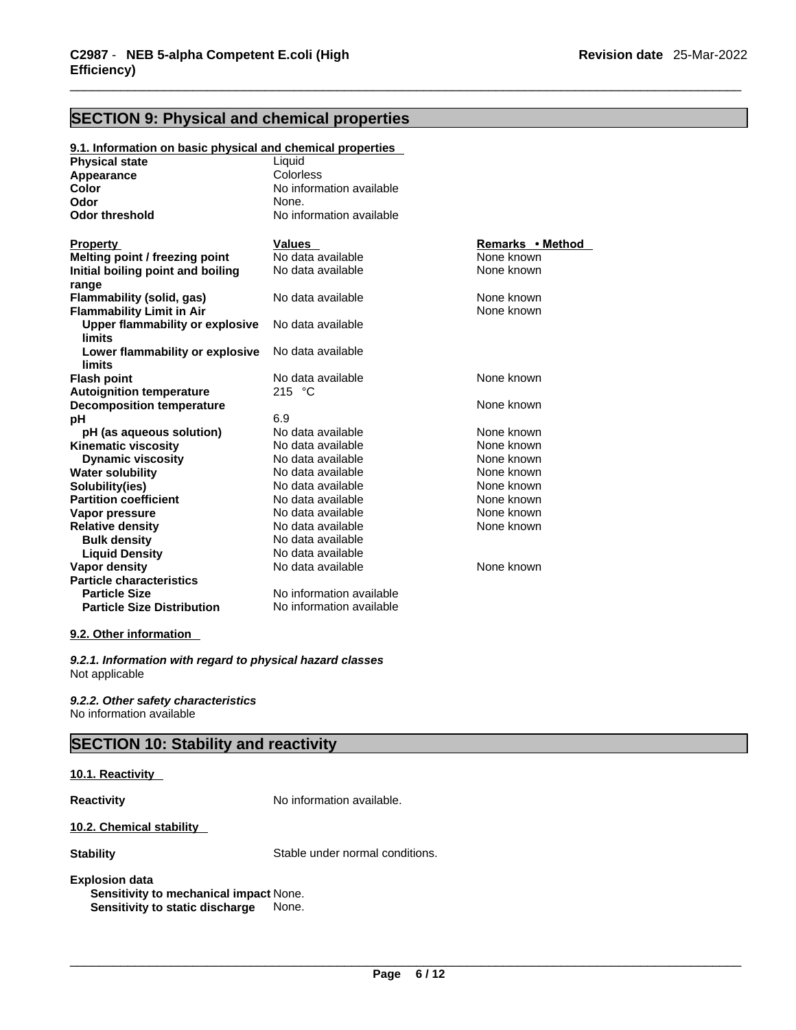### **SECTION 9: Physical and chemical properties**

**9.1. Information on basic physical and chemical properties**

| <b>Physical state</b>                  | Liquid                   |                  |
|----------------------------------------|--------------------------|------------------|
| Appearance                             | Colorless                |                  |
| Color                                  | No information available |                  |
| Odor                                   | None.                    |                  |
| <b>Odor threshold</b>                  | No information available |                  |
|                                        |                          |                  |
| <b>Property</b>                        | <b>Values</b>            | Remarks • Method |
| Melting point / freezing point         | No data available        | None known       |
| Initial boiling point and boiling      | No data available        | None known       |
| range                                  |                          |                  |
| Flammability (solid, gas)              | No data available        | None known       |
| <b>Flammability Limit in Air</b>       |                          | None known       |
| <b>Upper flammability or explosive</b> | No data available        |                  |
| limits                                 |                          |                  |
| Lower flammability or explosive        | No data available        |                  |
| limits                                 |                          |                  |
| <b>Flash point</b>                     | No data available        | None known       |
| <b>Autoignition temperature</b>        | 215 °C                   |                  |
| <b>Decomposition temperature</b>       |                          | None known       |
| рH                                     | 6.9                      |                  |
| pH (as aqueous solution)               | No data available        | None known       |
| <b>Kinematic viscosity</b>             | No data available        | None known       |
| <b>Dynamic viscosity</b>               | No data available        | None known       |
| <b>Water solubility</b>                | No data available        | None known       |
| Solubility(ies)                        | No data available        | None known       |
| <b>Partition coefficient</b>           | No data available        | None known       |
| Vapor pressure                         | No data available        | None known       |
| <b>Relative density</b>                | No data available        | None known       |
| <b>Bulk density</b>                    | No data available        |                  |
| <b>Liquid Density</b>                  | No data available        |                  |
| Vapor density                          | No data available        | None known       |
| <b>Particle characteristics</b>        |                          |                  |
| <b>Particle Size</b>                   | No information available |                  |
| <b>Particle Size Distribution</b>      | No information available |                  |
|                                        |                          |                  |

#### **9.2. Other information**

*9.2.1. Information with regard to physical hazard classes* Not applicable

*9.2.2. Other safety characteristics* No information available

### **SECTION 10: Stability and reactivity**

#### **10.1. Reactivity**

**Reactivity No information available.** 

#### **10.2. Chemical stability**

**Stability** Stable under normal conditions.

#### **Explosion data**

**Sensitivity to mechanical impact** None. **Sensitivity to static discharge** None.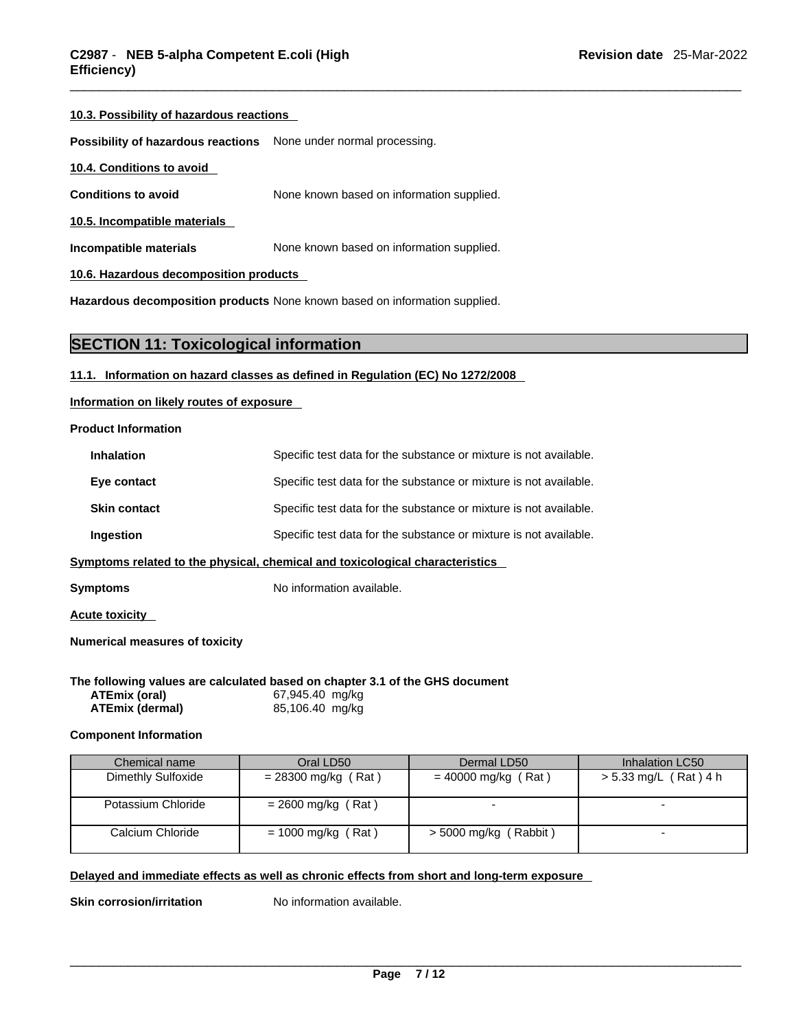#### **10.3. Possibility of hazardous reactions**

**Possibility of hazardous reactions** None under normal processing.

#### **10.4. Conditions to avoid**

**Conditions to avoid** None known based on information supplied.

**10.5. Incompatible materials**

**Incompatible materials** None known based on information supplied.

**10.6. Hazardous decomposition products** 

**Hazardous decomposition products** None known based on information supplied.

#### **SECTION 11: Toxicological information**

#### **11.1. Information on hazard classes as defined in Regulation (EC) No 1272/2008**

**Information on likely routes of exposure**

#### **Product Information**

| <b>Inhalation</b>   | Specific test data for the substance or mixture is not available. |
|---------------------|-------------------------------------------------------------------|
| Eye contact         | Specific test data for the substance or mixture is not available. |
| <b>Skin contact</b> | Specific test data for the substance or mixture is not available. |
| <b>Ingestion</b>    | Specific test data for the substance or mixture is not available. |
|                     |                                                                   |

**<u>Symptoms related to the physical, chemical and toxicological characteristics</u>** 

**Symptoms** No information available.

**Acute toxicity** 

**Numerical measures of toxicity**

|                        | The following values are calculated based on chapter 3.1 of the GHS document |  |
|------------------------|------------------------------------------------------------------------------|--|
| <b>ATEmix (oral)</b>   | 67,945.40 mg/kg                                                              |  |
| <b>ATEmix (dermal)</b> | 85,106.40 mg/kg                                                              |  |

#### **Component Information**

| Chemical name      | Oral LD50             | Dermal LD50             | Inhalation LC50       |
|--------------------|-----------------------|-------------------------|-----------------------|
| Dimethly Sulfoxide | $= 28300$ mg/kg (Rat) | $= 40000$ mg/kg (Rat)   | > 5.33 mg/L (Rat) 4 h |
| Potassium Chloride | $= 2600$ mg/kg (Rat)  |                         |                       |
| Calcium Chloride   | $= 1000$ mg/kg (Rat)  | $> 5000$ mg/kg (Rabbit) |                       |

#### **Delayed and immediate effects as well as chronic effects from short and long-term exposure**

**Skin corrosion/irritation** No information available.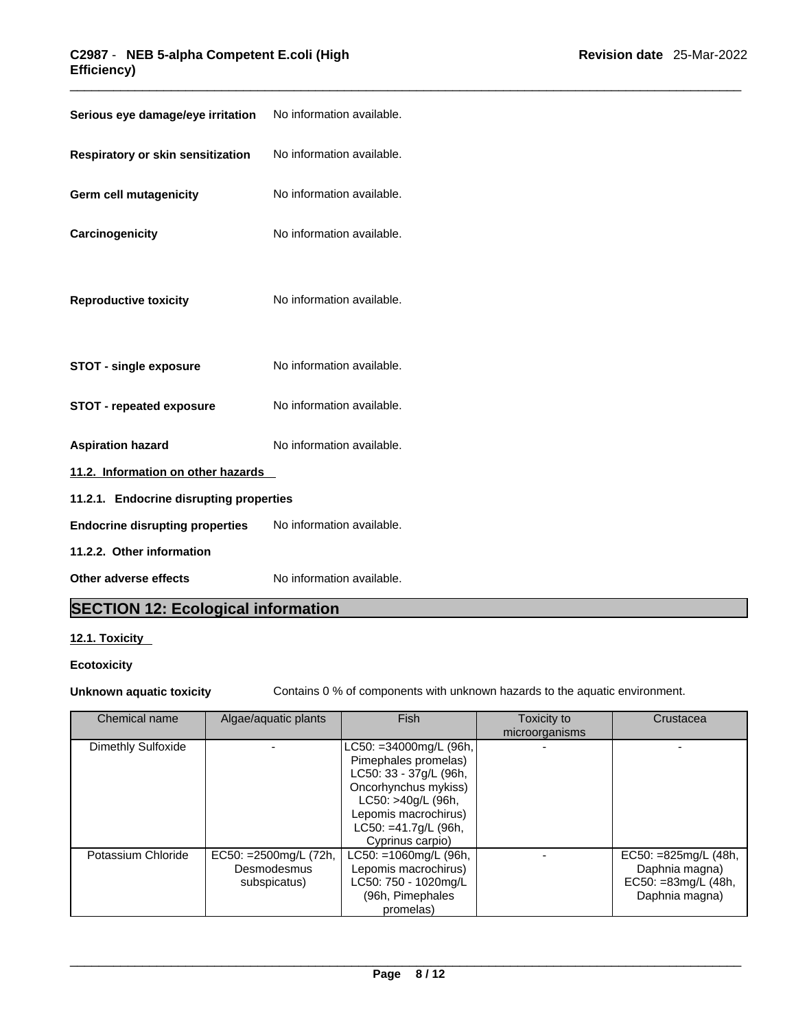### \_\_\_\_\_\_\_\_\_\_\_\_\_\_\_\_\_\_\_\_\_\_\_\_\_\_\_\_\_\_\_\_\_\_\_\_\_\_\_\_\_\_\_\_\_\_\_\_\_\_\_\_\_\_\_\_\_\_\_\_\_\_\_\_\_\_\_\_\_\_\_\_\_\_\_\_\_\_\_\_\_\_\_\_\_\_\_\_\_\_\_\_\_ **C2987** - **NEB 5-alpha Competent E.coli (High Efficiency)**

| Serious eye damage/eye irritation        | No information available. |
|------------------------------------------|---------------------------|
| <b>Respiratory or skin sensitization</b> | No information available. |
| Germ cell mutagenicity                   | No information available. |
| Carcinogenicity                          | No information available. |
| <b>Reproductive toxicity</b>             | No information available. |
| <b>STOT - single exposure</b>            | No information available. |
| <b>STOT - repeated exposure</b>          | No information available. |
| <b>Aspiration hazard</b>                 | No information available. |
| 11.2. Information on other hazards       |                           |
| 11.2.1. Endocrine disrupting properties  |                           |
| <b>Endocrine disrupting properties</b>   | No information available. |
| 11.2.2. Other information                |                           |
| Other adverse effects                    | No information available. |

### **SECTION 12: Ecological information**

#### **12.1. Toxicity**

### **Ecotoxicity**

**Unknown aquatic toxicity** Contains 0 % of components with unknown hazards to the aquatic environment.

| Chemical name      | Algae/aquatic plants                                  | <b>Fish</b>                                                                                                                                                                                       | Toxicity to<br>microorganisms | Crustacea                                                                             |
|--------------------|-------------------------------------------------------|---------------------------------------------------------------------------------------------------------------------------------------------------------------------------------------------------|-------------------------------|---------------------------------------------------------------------------------------|
| Dimethly Sulfoxide |                                                       | $LC50: = 34000$ mg/L (96h,<br>Pimephales promelas)<br>LC50: 33 - 37g/L (96h,<br>Oncorhynchus mykiss)<br>LC50: >40g/L (96h,<br>Lepomis macrochirus)<br>$LC50: = 41.7g/L$ (96h,<br>Cyprinus carpio) |                               |                                                                                       |
| Potassium Chloride | EC50: = 2500mg/L (72h,<br>Desmodesmus<br>subspicatus) | $LC50: = 1060$ mg/L (96h,<br>Lepomis macrochirus)<br>LC50: 750 - 1020mg/L<br>(96h, Pimephales<br>promelas)                                                                                        |                               | EC50: $=825$ mg/L (48h,<br>Daphnia magna)<br>$EC50: = 83mg/L (48h,$<br>Daphnia magna) |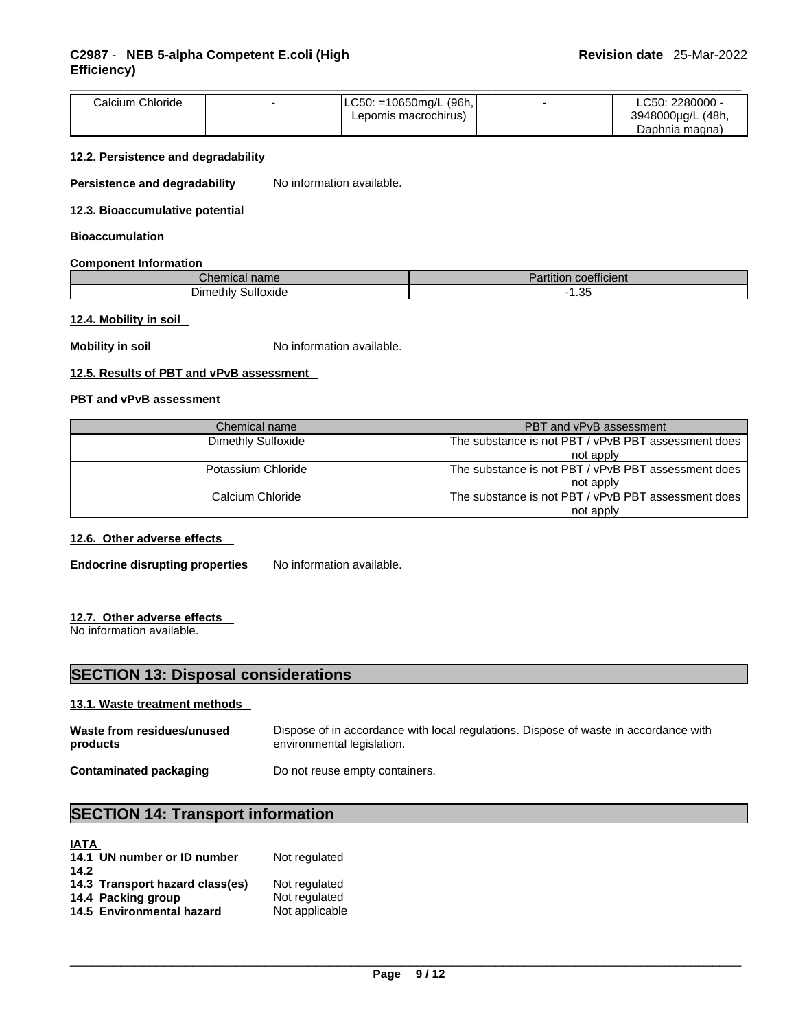| $ LC50: = 10650$ mg/L (96h, $ $<br>Calcium Chloride<br>∟C50: 2280000 -<br>` (48h,<br>3948000µg/L<br>Lepomis macrochirus)<br>Daphnia magna) |
|--------------------------------------------------------------------------------------------------------------------------------------------|
|--------------------------------------------------------------------------------------------------------------------------------------------|

#### **12.2. Persistence and degradability**

**Persistence and degradability** No information available.

#### **12.3. Bioaccumulative potential**

#### **Bioaccumulation**

#### **Component Information**

| $\sim$<br>$C$ hemical name | $\overline{\phantom{a}}$<br>$\sim$ $\sim$ $\sim$<br>coefficient<br>$\overline{\phantom{a}}$<br>artition |
|----------------------------|---------------------------------------------------------------------------------------------------------|
| $D$ imethly                | 25                                                                                                      |
| Sulfoxide                  | . . ບບ                                                                                                  |

#### **12.4. Mobility in soil**

**Mobility in soil** No information available.

#### **12.5. Results of PBT and vPvB assessment**

#### **PBT and vPvB assessment**

| Chemical name      | PBT and vPvB assessment                             |  |
|--------------------|-----------------------------------------------------|--|
| Dimethly Sulfoxide | The substance is not PBT / vPvB PBT assessment does |  |
|                    | not apply                                           |  |
| Potassium Chloride | The substance is not PBT / vPvB PBT assessment does |  |
|                    | not apply                                           |  |
| Calcium Chloride   | The substance is not PBT / vPvB PBT assessment does |  |
|                    | not apply                                           |  |

#### **12.6. Other adverse effects**

**Endocrine disrupting properties** No information available.

#### **12.7. Other adverse effects**

No information available.

### **SECTION 13: Disposal considerations**

#### **13.1. Waste treatment methods**

| Waste from residues/unused    | Dispose of in accordance with local regulations. Dispose of waste in accordance with |
|-------------------------------|--------------------------------------------------------------------------------------|
| products                      | environmental legislation.                                                           |
| <b>Contaminated packaging</b> | Do not reuse empty containers.                                                       |

### **SECTION 14: Transport information**

| <b>IATA</b><br>14.1 UN number or ID number | Not regulated  |
|--------------------------------------------|----------------|
| 14.2                                       |                |
| 14.3 Transport hazard class(es)            | Not regulated  |
| 14.4 Packing group                         | Not regulated  |
| 14.5 Environmental hazard                  | Not applicable |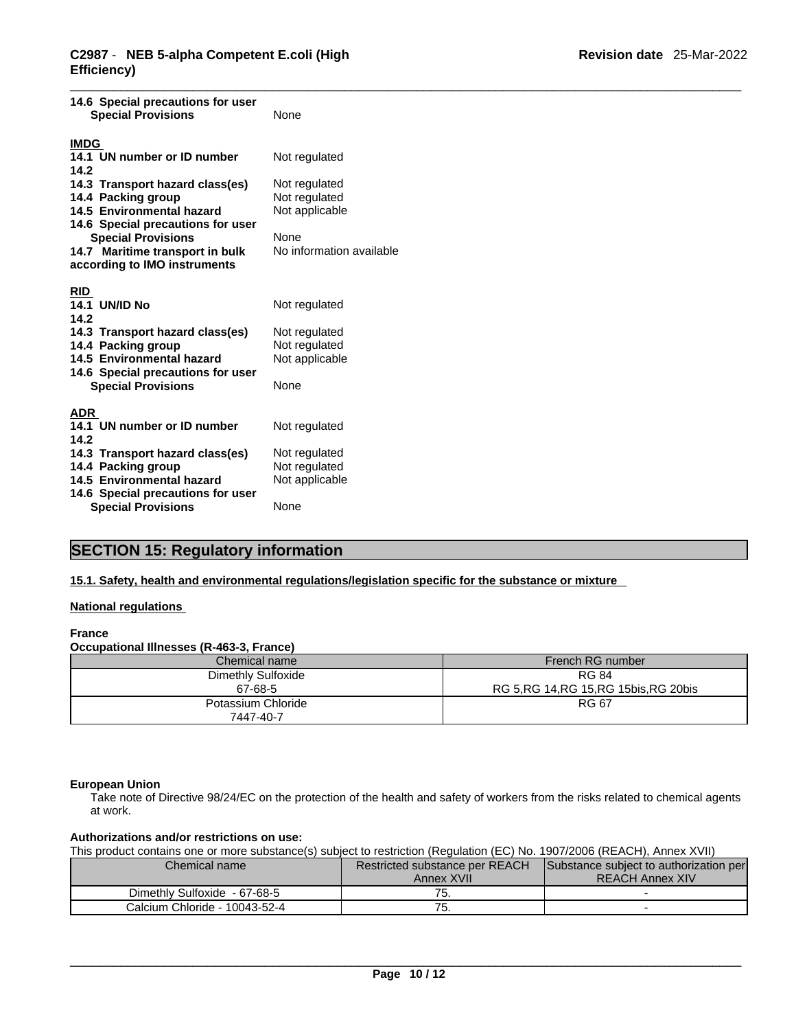| 14.6 Special precautions for user<br><b>Special Provisions</b>                                                                                                                                                          | None                                                                                        |
|-------------------------------------------------------------------------------------------------------------------------------------------------------------------------------------------------------------------------|---------------------------------------------------------------------------------------------|
| <b>IMDG</b>                                                                                                                                                                                                             |                                                                                             |
| 14.1 UN number or ID number<br>14.2                                                                                                                                                                                     | Not regulated                                                                               |
| 14.3 Transport hazard class(es)<br>14.4 Packing group<br>14.5 Environmental hazard<br>14.6 Special precautions for user<br><b>Special Provisions</b><br>14.7 Maritime transport in bulk<br>according to IMO instruments | Not regulated<br>Not regulated<br>Not applicable<br><b>None</b><br>No information available |
| <b>RID</b><br><b>14.1 UN/ID No</b><br>14.2                                                                                                                                                                              | Not regulated                                                                               |
| 14.3 Transport hazard class(es)<br>14.4 Packing group                                                                                                                                                                   | Not regulated<br>Not regulated                                                              |
| 14.5 Environmental hazard<br>14.6 Special precautions for user                                                                                                                                                          | Not applicable                                                                              |
| <b>Special Provisions</b>                                                                                                                                                                                               | None                                                                                        |
| <b>ADR</b><br>14.1 UN number or ID number<br>14.2                                                                                                                                                                       | Not regulated                                                                               |
| 14.3 Transport hazard class(es)<br>14.4 Packing group                                                                                                                                                                   | Not regulated<br>Not regulated                                                              |
| 14.5 Environmental hazard<br>14.6 Special precautions for user                                                                                                                                                          | Not applicable                                                                              |
| <b>Special Provisions</b>                                                                                                                                                                                               | None                                                                                        |
|                                                                                                                                                                                                                         |                                                                                             |

### **SECTION 15: Regulatory information**

#### **15.1. Safety, health and environmental regulations/legislation specific for the substance or mixture**

#### **National regulations**

#### **France**

#### **Occupational Illnesses (R-463-3, France)**

| Chemical name      | French RG number                         |
|--------------------|------------------------------------------|
| Dimethly Sulfoxide | <b>RG 84</b>                             |
| 67-68-5            | RG 5, RG 14, RG 15, RG 15 bis, RG 20 bis |
| Potassium Chloride | <b>RG 67</b>                             |
| 7447-40-7          |                                          |

#### **European Union**

Take note of Directive 98/24/EC on the protection of the health and safety of workers from the risks related to chemical agents at work.

#### **Authorizations and/or restrictions on use:**

This product contains one or more substance(s) subject to restriction (Regulation (EC) No. 1907/2006 (REACH), Annex XVII)

| Chemical name |                               | <b>Restricted substance per REACH</b> | Substance subject to authorization per |
|---------------|-------------------------------|---------------------------------------|----------------------------------------|
|               |                               | Annex XVII                            | <b>REACH Annex XIV</b>                 |
|               | Dimethly Sulfoxide - 67-68-5  | --<br>. ب                             |                                        |
|               | Calcium Chloride - 10043-52-4 | . ب                                   |                                        |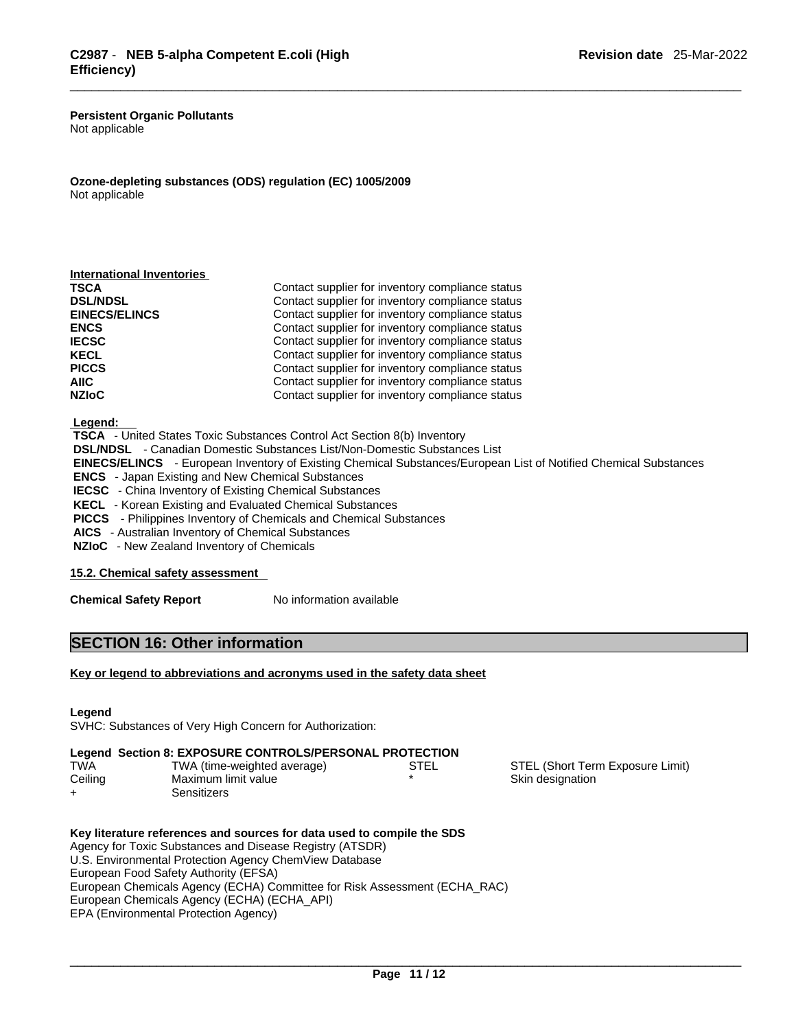**Persistent Organic Pollutants** Not applicable

**Ozone-depleting substances (ODS) regulation (EC) 1005/2009** Not applicable

| Contact supplier for inventory compliance status<br>Contact supplier for inventory compliance status<br>Contact supplier for inventory compliance status<br>Contact supplier for inventory compliance status<br>Contact supplier for inventory compliance status<br>Contact supplier for inventory compliance status<br>Contact supplier for inventory compliance status<br>Contact supplier for inventory compliance status<br>Contact supplier for inventory compliance status | <b>International Inventories</b> |  |
|----------------------------------------------------------------------------------------------------------------------------------------------------------------------------------------------------------------------------------------------------------------------------------------------------------------------------------------------------------------------------------------------------------------------------------------------------------------------------------|----------------------------------|--|
|                                                                                                                                                                                                                                                                                                                                                                                                                                                                                  | TSCA                             |  |
|                                                                                                                                                                                                                                                                                                                                                                                                                                                                                  | <b>DSL/NDSL</b>                  |  |
|                                                                                                                                                                                                                                                                                                                                                                                                                                                                                  | <b>EINECS/ELINCS</b>             |  |
|                                                                                                                                                                                                                                                                                                                                                                                                                                                                                  | <b>ENCS</b>                      |  |
|                                                                                                                                                                                                                                                                                                                                                                                                                                                                                  | <b>IECSC</b>                     |  |
|                                                                                                                                                                                                                                                                                                                                                                                                                                                                                  | KECL                             |  |
|                                                                                                                                                                                                                                                                                                                                                                                                                                                                                  | <b>PICCS</b>                     |  |
|                                                                                                                                                                                                                                                                                                                                                                                                                                                                                  | AIIC.                            |  |
|                                                                                                                                                                                                                                                                                                                                                                                                                                                                                  | <b>NZIoC</b>                     |  |

 **Legend:** 

 **TSCA** - United States Toxic Substances Control Act Section 8(b) Inventory  **DSL/NDSL** - Canadian Domestic Substances List/Non-Domestic Substances List  **EINECS/ELINCS** - European Inventory of Existing Chemical Substances/European List of Notified Chemical Substances  **ENCS** - Japan Existing and New Chemical Substances **IECSC** - China Inventory of Existing Chemical Substances  **KECL** - Korean Existing and Evaluated Chemical Substances  **PICCS** - Philippines Inventory of Chemicals and Chemical Substances  **AICS** - Australian Inventory of Chemical Substances  **NZIoC** - New Zealand Inventory of Chemicals

**15.2. Chemical safety assessment**

**Chemical Safety Report** No information available

### **SECTION 16: Other information**

#### **Key or legend to abbreviations and acronyms used in the safety data sheet**

**Legend** 

SVHC: Substances of Very High Concern for Authorization:

|  | Legend Section 8: EXPOSURE CONTROLS/PERSONAL PROTECTION |  |
|--|---------------------------------------------------------|--|
|--|---------------------------------------------------------|--|

| <b>TWA</b> | TWA (time-weighted average) | STEL | STEL (Short Term Exposure Limit) |
|------------|-----------------------------|------|----------------------------------|
| Ceiling    | Maximum limit value         |      | Skin designation                 |
|            | Sensitizers                 |      |                                  |

**Key literature references and sources for data used to compile the SDS** Agency for Toxic Substances and Disease Registry (ATSDR) U.S. Environmental Protection Agency ChemView Database European Food Safety Authority (EFSA) European Chemicals Agency (ECHA) Committee for Risk Assessment (ECHA\_RAC) European Chemicals Agency (ECHA) (ECHA\_API) EPA (Environmental Protection Agency)